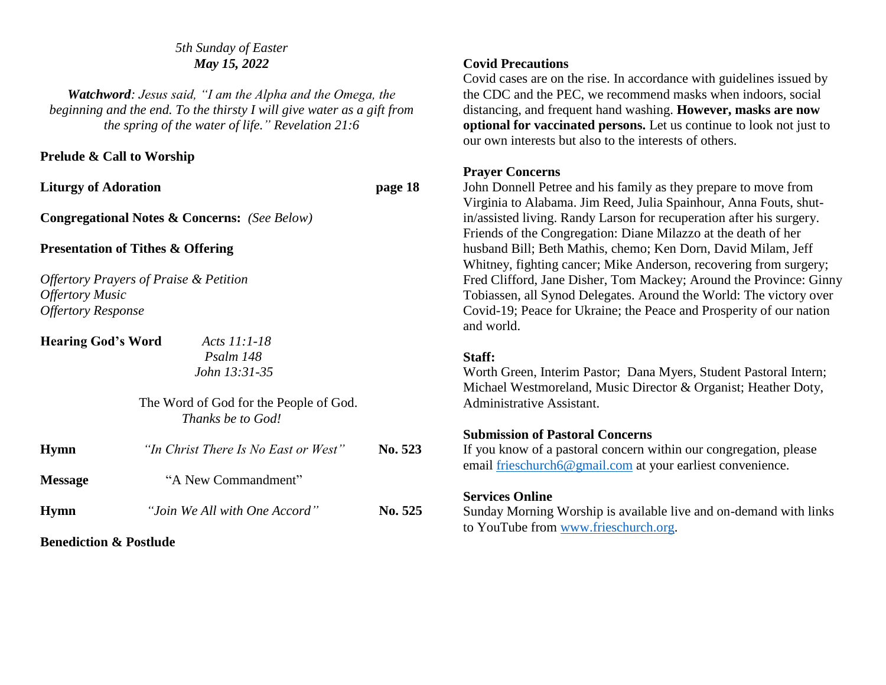#### *5th Sunday of Easter May 15, 2022*

*Watchword: Jesus said, "I am the Alpha and the Omega, the beginning and the end. To the thirsty I will give water as a gift from the spring of the water of life." Revelation 21:6*

#### **Prelude & Call to Worship**

Liturgy of Adoration **page 18** 

**Congregational Notes & Concerns:** *(See Below)*

#### **Presentation of Tithes & Offering**

*Offertory Prayers of Praise & Petition Offertory Music Offertory Response*

**Hearing God's Word** *Acts 11:1-18* 

*Psalm 148 John 13:31-35*

| The Word of God for the People of God. |
|----------------------------------------|
| Thanks be to God!                      |

| <b>Hymn</b>    | "In Christ There Is No East or West" | No. 523 |
|----------------|--------------------------------------|---------|
| <b>Message</b> | "A New Commandment"                  |         |
| <b>Hymn</b>    | "Join We All with One Accord"        | No. 525 |

**Benediction & Postlude**

## **Covid Precautions**

Covid cases are on the rise. In accordance with guidelines issued by the CDC and the PEC, we recommend masks when indoors, social distancing, and frequent hand washing. **However, masks are now optional for vaccinated persons.** Let us continue to look not just to our own interests but also to the interests of others.

## **Prayer Concerns**

John Donnell Petree and his family as they prepare to move from Virginia to Alabama. Jim Reed, Julia Spainhour, Anna Fouts, shutin/assisted living. Randy Larson for recuperation after his surgery. Friends of the Congregation: Diane Milazzo at the death of her husband Bill; Beth Mathis, chemo; Ken Dorn, David Milam, Jeff Whitney, fighting cancer; Mike Anderson, recovering from surgery; Fred Clifford, Jane Disher, Tom Mackey; Around the Province: Ginny Tobiassen, all Synod Delegates. Around the World: The victory over Covid-19; Peace for Ukraine; the Peace and Prosperity of our nation and world.

#### **Staff:**

Worth Green, Interim Pastor; Dana Myers, Student Pastoral Intern; Michael Westmoreland, Music Director & Organist; Heather Doty, Administrative Assistant.

## **Submission of Pastoral Concerns**

If you know of a pastoral concern within our congregation, please email [frieschurch6@gmail.com](mailto:frieschurch6@gmail.com) at your earliest convenience.

## **Services Online**

Sunday Morning Worship is available live and on-demand with links to YouTube from [www.frieschurch.org.](http://www.frieschurch.org/)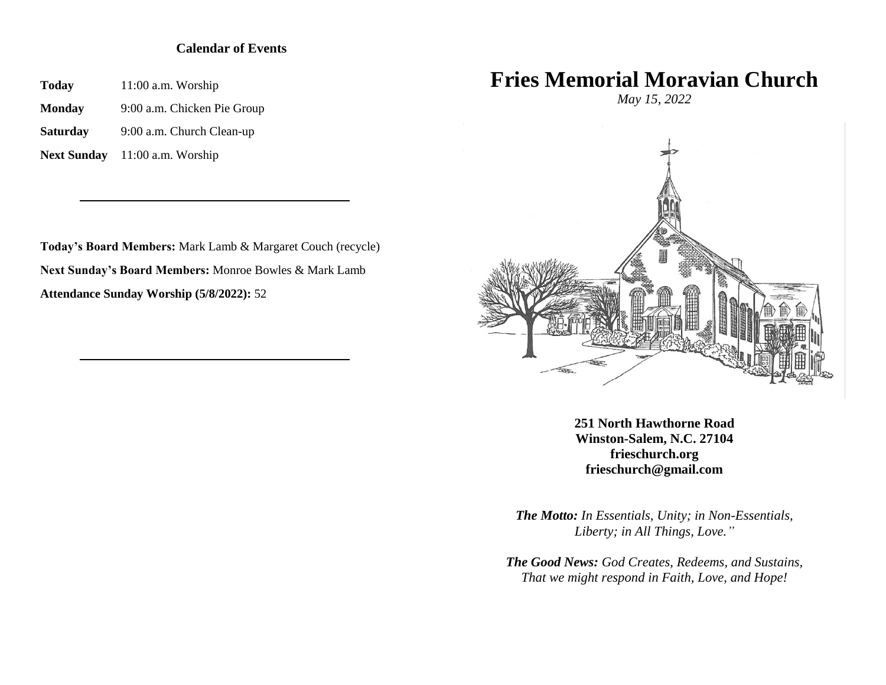#### **Calendar of Events**

**Today** 11:00 a.m. Worship

**Monday** 9:00 a.m. Chicken Pie Group

**Saturday** 9:00 a.m. Church Clean-up

**Next Sunday** 11:00 a.m. Worship

**Today's Board Members:** Mark Lamb & Margaret Couch (recycle) **Next Sunday's Board Members:** Monroe Bowles & Mark Lamb **Attendance Sunday Worship (5/8/2022):** 52

# **Fries Memorial Moravian Church**

*May 15, 2022*



**251 North Hawthorne Road Winston-Salem, N.C. 27104 frieschurch.org frieschurch@gmail.com**

*The Motto: In Essentials, Unity; in Non-Essentials, Liberty; in All Things, Love."*

*The Good News: God Creates, Redeems, and Sustains, That we might respond in Faith, Love, and Hope!*